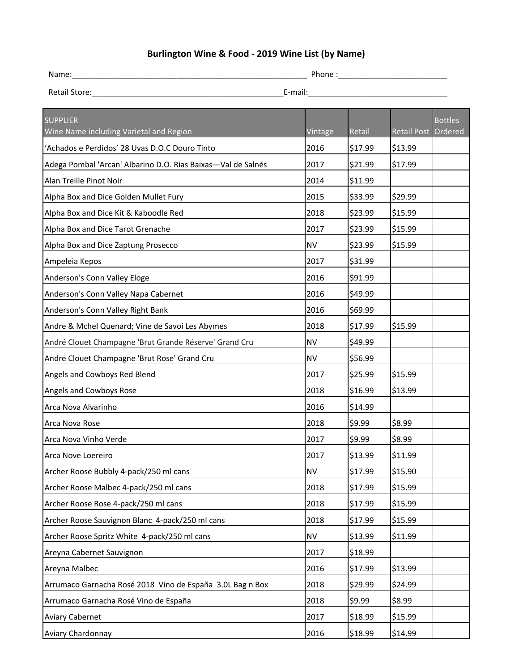## **Burlington Wine & Food ‐ 2019 Wine List (by Name)**

| Name:                | Phone  |
|----------------------|--------|
| <b>Retail Store:</b> | E-mail |

| <b>SUPPLIER</b><br>Wine Name including Varietal and Region   | Vintage   | Retail  | Retail Post Ordered | <b>Bottles</b> |
|--------------------------------------------------------------|-----------|---------|---------------------|----------------|
| 'Achados e Perdidos' 28 Uvas D.O.C Douro Tinto               | 2016      | \$17.99 | \$13.99             |                |
| Adega Pombal 'Arcan' Albarino D.O. Rias Baixas-Val de Salnés | 2017      | \$21.99 | \$17.99             |                |
| Alan Treille Pinot Noir                                      | 2014      | \$11.99 |                     |                |
| Alpha Box and Dice Golden Mullet Fury                        | 2015      | \$33.99 | \$29.99             |                |
| Alpha Box and Dice Kit & Kaboodle Red                        | 2018      | \$23.99 | \$15.99             |                |
| Alpha Box and Dice Tarot Grenache                            | 2017      | \$23.99 | \$15.99             |                |
| Alpha Box and Dice Zaptung Prosecco                          | <b>NV</b> | \$23.99 | \$15.99             |                |
| Ampeleia Kepos                                               | 2017      | \$31.99 |                     |                |
| Anderson's Conn Valley Eloge                                 | 2016      | \$91.99 |                     |                |
| Anderson's Conn Valley Napa Cabernet                         | 2016      | \$49.99 |                     |                |
| Anderson's Conn Valley Right Bank                            | 2016      | \$69.99 |                     |                |
| Andre & Mchel Quenard; Vine de Savoi Les Abymes              | 2018      | \$17.99 | \$15.99             |                |
| André Clouet Champagne 'Brut Grande Réserve' Grand Cru       | <b>NV</b> | \$49.99 |                     |                |
| Andre Clouet Champagne 'Brut Rose' Grand Cru                 | <b>NV</b> | \$56.99 |                     |                |
| Angels and Cowboys Red Blend                                 | 2017      | \$25.99 | \$15.99             |                |
| Angels and Cowboys Rose                                      | 2018      | \$16.99 | \$13.99             |                |
| Arca Nova Alvarinho                                          | 2016      | \$14.99 |                     |                |
| Arca Nova Rose                                               | 2018      | \$9.99  | \$8.99              |                |
| Arca Nova Vinho Verde                                        | 2017      | \$9.99  | \$8.99              |                |
| Arca Nove Loereiro                                           | 2017      | \$13.99 | \$11.99             |                |
| Archer Roose Bubbly 4-pack/250 ml cans                       | <b>NV</b> | \$17.99 | \$15.90             |                |
| Archer Roose Malbec 4-pack/250 ml cans                       | 2018      | \$17.99 | \$15.99             |                |
| Archer Roose Rose 4-pack/250 ml cans                         | 2018      | \$17.99 | \$15.99             |                |
| Archer Roose Sauvignon Blanc 4-pack/250 ml cans              | 2018      | \$17.99 | \$15.99             |                |
| Archer Roose Spritz White 4-pack/250 ml cans                 | <b>NV</b> | \$13.99 | \$11.99             |                |
| Areyna Cabernet Sauvignon                                    | 2017      | \$18.99 |                     |                |
| Areyna Malbec                                                | 2016      | \$17.99 | \$13.99             |                |
| Arrumaco Garnacha Rosé 2018 Vino de España 3.0L Bag n Box    | 2018      | \$29.99 | \$24.99             |                |
| Arrumaco Garnacha Rosé Vino de España                        | 2018      | \$9.99  | \$8.99              |                |
| <b>Aviary Cabernet</b>                                       | 2017      | \$18.99 | \$15.99             |                |
| Aviary Chardonnay                                            | 2016      | \$18.99 | \$14.99             |                |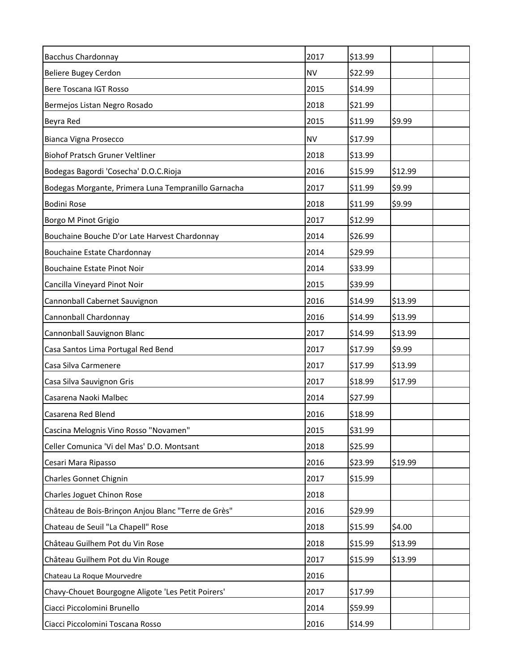| <b>Bacchus Chardonnay</b>                           | 2017      | \$13.99 |         |  |
|-----------------------------------------------------|-----------|---------|---------|--|
| Beliere Bugey Cerdon                                | <b>NV</b> | \$22.99 |         |  |
| <b>Bere Toscana IGT Rosso</b>                       | 2015      | \$14.99 |         |  |
| Bermejos Listan Negro Rosado                        | 2018      | \$21.99 |         |  |
| Beyra Red                                           | 2015      | \$11.99 | \$9.99  |  |
| Bianca Vigna Prosecco                               | <b>NV</b> | \$17.99 |         |  |
| <b>Biohof Pratsch Gruner Veltliner</b>              | 2018      | \$13.99 |         |  |
| Bodegas Bagordi 'Cosecha' D.O.C.Rioja               | 2016      | \$15.99 | \$12.99 |  |
| Bodegas Morgante, Primera Luna Tempranillo Garnacha | 2017      | \$11.99 | \$9.99  |  |
| <b>Bodini Rose</b>                                  | 2018      | \$11.99 | \$9.99  |  |
| Borgo M Pinot Grigio                                | 2017      | \$12.99 |         |  |
| Bouchaine Bouche D'or Late Harvest Chardonnay       | 2014      | \$26.99 |         |  |
| Bouchaine Estate Chardonnay                         | 2014      | \$29.99 |         |  |
| Bouchaine Estate Pinot Noir                         | 2014      | \$33.99 |         |  |
| Cancilla Vineyard Pinot Noir                        | 2015      | \$39.99 |         |  |
| Cannonball Cabernet Sauvignon                       | 2016      | \$14.99 | \$13.99 |  |
| Cannonball Chardonnay                               | 2016      | \$14.99 | \$13.99 |  |
| Cannonball Sauvignon Blanc                          | 2017      | \$14.99 | \$13.99 |  |
| Casa Santos Lima Portugal Red Bend                  | 2017      | \$17.99 | \$9.99  |  |
| Casa Silva Carmenere                                | 2017      | \$17.99 | \$13.99 |  |
| Casa Silva Sauvignon Gris                           | 2017      | \$18.99 | \$17.99 |  |
| Casarena Naoki Malbec                               | 2014      | \$27.99 |         |  |
| Casarena Red Blend                                  | 2016      | \$18.99 |         |  |
| Cascina Melognis Vino Rosso "Novamen"               | 2015      | \$31.99 |         |  |
| Celler Comunica 'Vi del Mas' D.O. Montsant          | 2018      | \$25.99 |         |  |
| Cesari Mara Ripasso                                 | 2016      | \$23.99 | \$19.99 |  |
| Charles Gonnet Chignin                              | 2017      | \$15.99 |         |  |
| Charles Joguet Chinon Rose                          | 2018      |         |         |  |
| Château de Bois-Brinçon Anjou Blanc "Terre de Grès" | 2016      | \$29.99 |         |  |
| Chateau de Seuil "La Chapell" Rose                  | 2018      | \$15.99 | \$4.00  |  |
| Château Guilhem Pot du Vin Rose                     | 2018      | \$15.99 | \$13.99 |  |
| Château Guilhem Pot du Vin Rouge                    | 2017      | \$15.99 | \$13.99 |  |
| Chateau La Roque Mourvedre                          | 2016      |         |         |  |
| Chavy-Chouet Bourgogne Aligote 'Les Petit Poirers'  | 2017      | \$17.99 |         |  |
| Ciacci Piccolomini Brunello                         | 2014      | \$59.99 |         |  |
| Ciacci Piccolomini Toscana Rosso                    | 2016      | \$14.99 |         |  |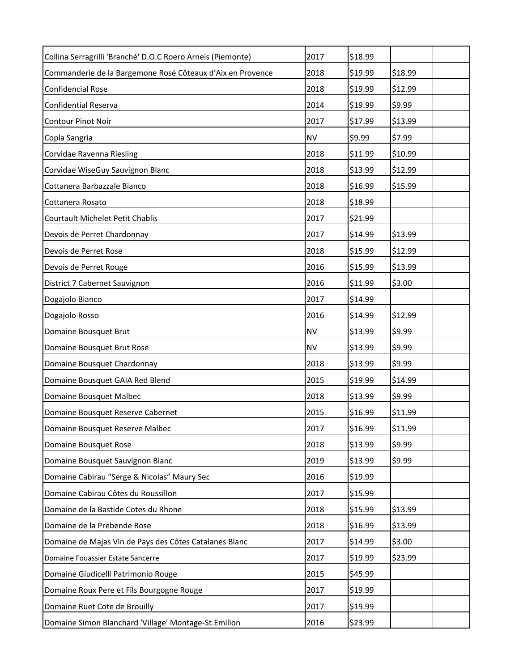| Collina Serragrilli 'Branché' D.O.C Roero Arneis (Piemonte) | 2017      | \$18.99 |         |  |
|-------------------------------------------------------------|-----------|---------|---------|--|
| Commanderie de la Bargemone Rosé Côteaux d'Aix en Provence  | 2018      | \$19.99 | \$18.99 |  |
| <b>Confidencial Rose</b>                                    | 2018      | \$19.99 | \$12.99 |  |
| <b>Confidential Reserva</b>                                 | 2014      | \$19.99 | \$9.99  |  |
| <b>Contour Pinot Noir</b>                                   | 2017      | \$17.99 | \$13.99 |  |
| Copla Sangria                                               | <b>NV</b> | \$9.99  | \$7.99  |  |
| Corvidae Ravenna Riesling                                   | 2018      | \$11.99 | \$10.99 |  |
| Corvidae WiseGuy Sauvignon Blanc                            | 2018      | \$13.99 | \$12.99 |  |
| Cottanera Barbazzale Bianco                                 | 2018      | \$16.99 | \$15.99 |  |
| Cottanera Rosato                                            | 2018      | \$18.99 |         |  |
| Courtault Michelet Petit Chablis                            | 2017      | \$21.99 |         |  |
| Devois de Perret Chardonnay                                 | 2017      | \$14.99 | \$13.99 |  |
| Devois de Perret Rose                                       | 2018      | \$15.99 | \$12.99 |  |
| Devois de Perret Rouge                                      | 2016      | \$15.99 | \$13.99 |  |
| District 7 Cabernet Sauvignon                               | 2016      | \$11.99 | \$3.00  |  |
| Dogajolo Bianco                                             | 2017      | \$14.99 |         |  |
| Dogajolo Rosso                                              | 2016      | \$14.99 | \$12.99 |  |
| Domaine Bousquet Brut                                       | <b>NV</b> | \$13.99 | \$9.99  |  |
| Domaine Bousquet Brut Rose                                  | <b>NV</b> | \$13.99 | \$9.99  |  |
| Domaine Bousquet Chardonnay                                 | 2018      | \$13.99 | \$9.99  |  |
| Domaine Bousquet GAIA Red Blend                             | 2015      | \$19.99 | \$14.99 |  |
| Domaine Bousquet Malbec                                     | 2018      | \$13.99 | \$9.99  |  |
| Domaine Bousquet Reserve Cabernet                           | 2015      | \$16.99 | \$11.99 |  |
| Domaine Bousquet Reserve Malbec                             | 2017      | \$16.99 | \$11.99 |  |
| Domaine Bousquet Rose                                       | 2018      | \$13.99 | \$9.99  |  |
| Domaine Bousquet Sauvignon Blanc                            | 2019      | \$13.99 | \$9.99  |  |
| Domaine Cabirau "Serge & Nicolas" Maury Sec                 | 2016      | \$19.99 |         |  |
| Domaine Cabirau Côtes du Roussillon                         | 2017      | \$15.99 |         |  |
| Domaine de la Bastide Cotes du Rhone                        | 2018      | \$15.99 | \$13.99 |  |
| Domaine de la Prebende Rose                                 | 2018      | \$16.99 | \$13.99 |  |
| Domaine de Majas Vin de Pays des Côtes Catalanes Blanc      | 2017      | \$14.99 | \$3.00  |  |
| Domaine Fouassier Estate Sancerre                           | 2017      | \$19.99 | \$23.99 |  |
| Domaine Giudicelli Patrimonio Rouge                         | 2015      | \$45.99 |         |  |
| Domaine Roux Pere et Fils Bourgogne Rouge                   | 2017      | \$19.99 |         |  |
| Domaine Ruet Cote de Brouilly                               | 2017      | \$19.99 |         |  |
| Domaine Simon Blanchard 'Village' Montage-St.Emilion        | 2016      | \$23.99 |         |  |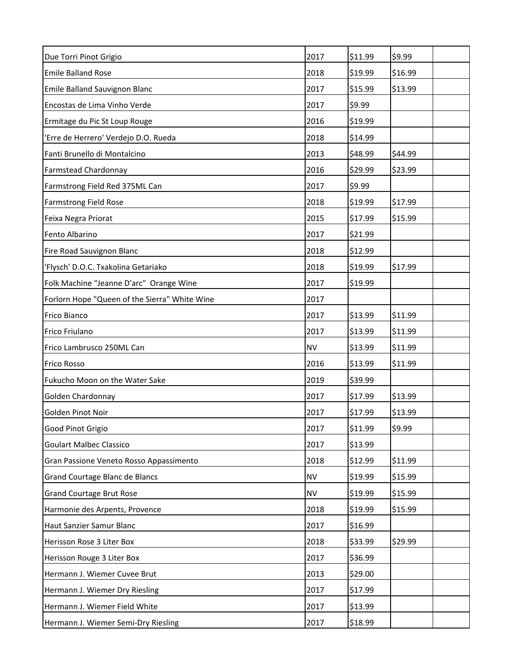| Due Torri Pinot Grigio                        | 2017      | \$11.99 | \$9.99  |  |
|-----------------------------------------------|-----------|---------|---------|--|
| <b>Emile Balland Rose</b>                     | 2018      | \$19.99 | \$16.99 |  |
| Emile Balland Sauvignon Blanc                 | 2017      | \$15.99 | \$13.99 |  |
| Encostas de Lima Vinho Verde                  | 2017      | \$9.99  |         |  |
| Ermitage du Pic St Loup Rouge                 | 2016      | \$19.99 |         |  |
| 'Erre de Herrero' Verdejo D.O. Rueda          | 2018      | \$14.99 |         |  |
| Fanti Brunello di Montalcino                  | 2013      | \$48.99 | \$44.99 |  |
| Farmstead Chardonnay                          | 2016      | \$29.99 | \$23.99 |  |
| Farmstrong Field Red 375ML Can                | 2017      | \$9.99  |         |  |
| <b>Farmstrong Field Rose</b>                  | 2018      | \$19.99 | \$17.99 |  |
| Feixa Negra Priorat                           | 2015      | \$17.99 | \$15.99 |  |
| Fento Albarino                                | 2017      | \$21.99 |         |  |
| Fire Road Sauvignon Blanc                     | 2018      | \$12.99 |         |  |
| 'Flysch' D.O.C. Txakolina Getariako           | 2018      | \$19.99 | \$17.99 |  |
| Folk Machine "Jeanne D'arc" Orange Wine       | 2017      | \$19.99 |         |  |
| Forlorn Hope "Queen of the Sierra" White Wine | 2017      |         |         |  |
| <b>Frico Bianco</b>                           | 2017      | \$13.99 | \$11.99 |  |
| <b>Frico Friulano</b>                         | 2017      | \$13.99 | \$11.99 |  |
| Frico Lambrusco 250ML Can                     | <b>NV</b> | \$13.99 | \$11.99 |  |
| <b>Frico Rosso</b>                            | 2016      | \$13.99 | \$11.99 |  |
| Fukucho Moon on the Water Sake                | 2019      | \$39.99 |         |  |
| Golden Chardonnay                             | 2017      | \$17.99 | \$13.99 |  |
| Golden Pinot Noir                             | 2017      | \$17.99 | \$13.99 |  |
| Good Pinot Grigio                             | 2017      | \$11.99 | \$9.99  |  |
| <b>Goulart Malbec Classico</b>                | 2017      | \$13.99 |         |  |
| Gran Passione Veneto Rosso Appassimento       | 2018      | \$12.99 | \$11.99 |  |
| Grand Courtage Blanc de Blancs                | <b>NV</b> | \$19.99 | \$15.99 |  |
| <b>Grand Courtage Brut Rose</b>               | <b>NV</b> | \$19.99 | \$15.99 |  |
| Harmonie des Arpents, Provence                | 2018      | \$19.99 | \$15.99 |  |
| Haut Sanzier Samur Blanc                      | 2017      | \$16.99 |         |  |
| Herisson Rose 3 Liter Box                     | 2018      | \$33.99 | \$29.99 |  |
| Herisson Rouge 3 Liter Box                    | 2017      | \$36.99 |         |  |
| Hermann J. Wiemer Cuvee Brut                  | 2013      | \$29.00 |         |  |
| Hermann J. Wiemer Dry Riesling                | 2017      | \$17.99 |         |  |
| Hermann J. Wiemer Field White                 | 2017      | \$13.99 |         |  |
| Hermann J. Wiemer Semi-Dry Riesling           | 2017      | \$18.99 |         |  |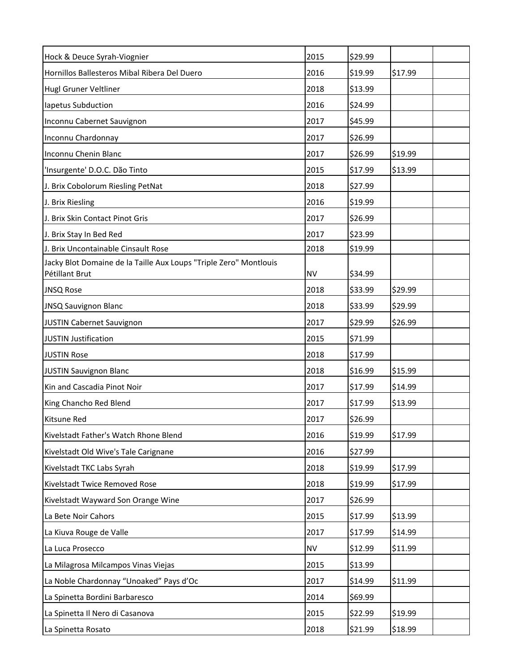| Hock & Deuce Syrah-Viognier                                                         | 2015      | \$29.99 |         |
|-------------------------------------------------------------------------------------|-----------|---------|---------|
| Hornillos Ballesteros Mibal Ribera Del Duero                                        | 2016      | \$19.99 | \$17.99 |
| Hugl Gruner Veltliner                                                               | 2018      | \$13.99 |         |
| lapetus Subduction                                                                  | 2016      | \$24.99 |         |
| Inconnu Cabernet Sauvignon                                                          | 2017      | \$45.99 |         |
| Inconnu Chardonnay                                                                  | 2017      | \$26.99 |         |
| Inconnu Chenin Blanc                                                                | 2017      | \$26.99 | \$19.99 |
| 'Insurgente' D.O.C. Dão Tinto                                                       | 2015      | \$17.99 | \$13.99 |
| J. Brix Cobolorum Riesling PetNat                                                   | 2018      | \$27.99 |         |
| J. Brix Riesling                                                                    | 2016      | \$19.99 |         |
| J. Brix Skin Contact Pinot Gris                                                     | 2017      | \$26.99 |         |
| J. Brix Stay In Bed Red                                                             | 2017      | \$23.99 |         |
| J. Brix Uncontainable Cinsault Rose                                                 | 2018      | \$19.99 |         |
| Jacky Blot Domaine de la Taille Aux Loups "Triple Zero" Montlouis<br>Pétillant Brut | <b>NV</b> | \$34.99 |         |
| <b>JNSQ Rose</b>                                                                    | 2018      | \$33.99 | \$29.99 |
| <b>JNSQ Sauvignon Blanc</b>                                                         | 2018      | \$33.99 | \$29.99 |
| JUSTIN Cabernet Sauvignon                                                           | 2017      | \$29.99 | \$26.99 |
| <b>JUSTIN Justification</b>                                                         | 2015      | \$71.99 |         |
| <b>JUSTIN Rose</b>                                                                  | 2018      | \$17.99 |         |
| JUSTIN Sauvignon Blanc                                                              | 2018      | \$16.99 | \$15.99 |
| Kin and Cascadia Pinot Noir                                                         | 2017      | \$17.99 | \$14.99 |
| King Chancho Red Blend                                                              | 2017      | \$17.99 | \$13.99 |
| <b>Kitsune Red</b>                                                                  | 2017      | \$26.99 |         |
| Kivelstadt Father's Watch Rhone Blend                                               | 2016      | \$19.99 | \$17.99 |
| Kivelstadt Old Wive's Tale Carignane                                                | 2016      | \$27.99 |         |
| Kivelstadt TKC Labs Syrah                                                           | 2018      | \$19.99 | \$17.99 |
| Kivelstadt Twice Removed Rose                                                       | 2018      | \$19.99 | \$17.99 |
| Kivelstadt Wayward Son Orange Wine                                                  | 2017      | \$26.99 |         |
| La Bete Noir Cahors                                                                 | 2015      | \$17.99 | \$13.99 |
| La Kiuva Rouge de Valle                                                             | 2017      | \$17.99 | \$14.99 |
| La Luca Prosecco                                                                    | <b>NV</b> | \$12.99 | \$11.99 |
| La Milagrosa Milcampos Vinas Viejas                                                 | 2015      | \$13.99 |         |
| La Noble Chardonnay "Unoaked" Pays d'Oc                                             | 2017      | \$14.99 | \$11.99 |
| La Spinetta Bordini Barbaresco                                                      | 2014      | \$69.99 |         |
| La Spinetta Il Nero di Casanova                                                     | 2015      | \$22.99 | \$19.99 |
| La Spinetta Rosato                                                                  | 2018      | \$21.99 | \$18.99 |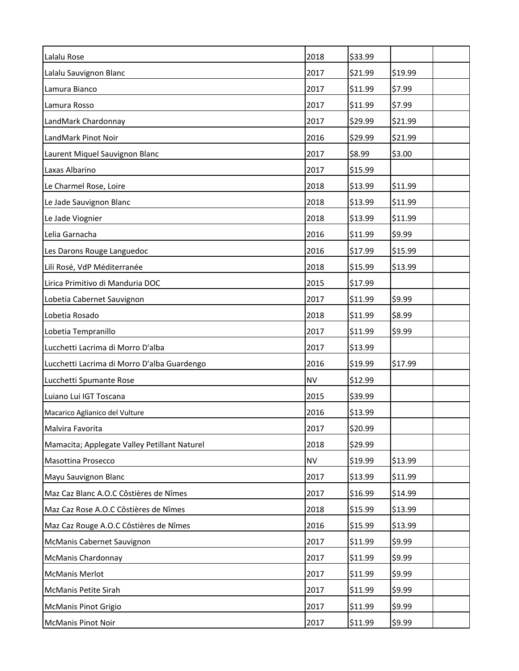| Lalalu Rose                                  | 2018      | \$33.99 |         |
|----------------------------------------------|-----------|---------|---------|
| Lalalu Sauvignon Blanc                       | 2017      | \$21.99 | \$19.99 |
| Lamura Bianco                                | 2017      | \$11.99 | \$7.99  |
| Lamura Rosso                                 | 2017      | \$11.99 | \$7.99  |
| LandMark Chardonnay                          | 2017      | \$29.99 | \$21.99 |
| LandMark Pinot Noir                          | 2016      | \$29.99 | \$21.99 |
| Laurent Miquel Sauvignon Blanc               | 2017      | \$8.99  | \$3.00  |
| Laxas Albarino                               | 2017      | \$15.99 |         |
| Le Charmel Rose, Loire                       | 2018      | \$13.99 | \$11.99 |
| Le Jade Sauvignon Blanc                      | 2018      | \$13.99 | \$11.99 |
| Le Jade Viognier                             | 2018      | \$13.99 | \$11.99 |
| Lelia Garnacha                               | 2016      | \$11.99 | \$9.99  |
| Les Darons Rouge Languedoc                   | 2016      | \$17.99 | \$15.99 |
| Lilí Rosé, VdP Méditerranée                  | 2018      | \$15.99 | \$13.99 |
| Lirica Primitivo di Manduria DOC             | 2015      | \$17.99 |         |
| Lobetia Cabernet Sauvignon                   | 2017      | \$11.99 | \$9.99  |
| Lobetia Rosado                               | 2018      | \$11.99 | \$8.99  |
| Lobetia Tempranillo                          | 2017      | \$11.99 | \$9.99  |
| Lucchetti Lacrima di Morro D'alba            | 2017      | \$13.99 |         |
| Lucchetti Lacrima di Morro D'alba Guardengo  | 2016      | \$19.99 | \$17.99 |
| Lucchetti Spumante Rose                      | <b>NV</b> | \$12.99 |         |
| Luiano Lui IGT Toscana                       | 2015      | \$39.99 |         |
| Macarico Aglianico del Vulture               | 2016      | \$13.99 |         |
| Malvira Favorita                             | 2017      | \$20.99 |         |
| Mamacita; Applegate Valley Petillant Naturel | 2018      | \$29.99 |         |
| Masottina Prosecco                           | <b>NV</b> | \$19.99 | \$13.99 |
| Mayu Sauvignon Blanc                         | 2017      | \$13.99 | \$11.99 |
| Maz Caz Blanc A.O.C Côstières de Nîmes       | 2017      | \$16.99 | \$14.99 |
| Maz Caz Rose A.O.C Côstières de Nîmes        | 2018      | \$15.99 | \$13.99 |
| Maz Caz Rouge A.O.C Côstières de Nîmes       | 2016      | \$15.99 | \$13.99 |
| McManis Cabernet Sauvignon                   | 2017      | \$11.99 | \$9.99  |
| McManis Chardonnay                           | 2017      | \$11.99 | \$9.99  |
| <b>McManis Merlot</b>                        | 2017      | \$11.99 | \$9.99  |
| McManis Petite Sirah                         | 2017      | \$11.99 | \$9.99  |
| McManis Pinot Grigio                         | 2017      | \$11.99 | \$9.99  |
| <b>McManis Pinot Noir</b>                    | 2017      | \$11.99 | \$9.99  |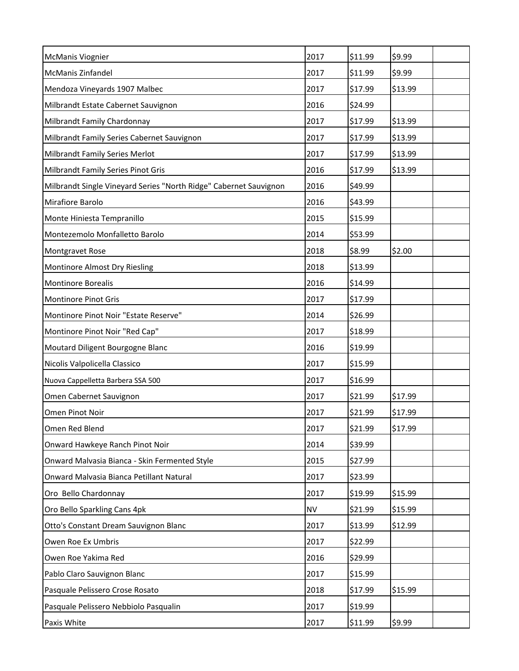| <b>McManis Viognier</b>                                           | 2017      | \$11.99 | \$9.99  |
|-------------------------------------------------------------------|-----------|---------|---------|
| McManis Zinfandel                                                 | 2017      | \$11.99 | \$9.99  |
| Mendoza Vineyards 1907 Malbec                                     | 2017      | \$17.99 | \$13.99 |
| Milbrandt Estate Cabernet Sauvignon                               | 2016      | \$24.99 |         |
| Milbrandt Family Chardonnay                                       | 2017      | \$17.99 | \$13.99 |
| Milbrandt Family Series Cabernet Sauvignon                        | 2017      | \$17.99 | \$13.99 |
| Milbrandt Family Series Merlot                                    | 2017      | \$17.99 | \$13.99 |
| Milbrandt Family Series Pinot Gris                                | 2016      | \$17.99 | \$13.99 |
| Milbrandt Single Vineyard Series "North Ridge" Cabernet Sauvignon | 2016      | \$49.99 |         |
| Mirafiore Barolo                                                  | 2016      | \$43.99 |         |
| Monte Hiniesta Tempranillo                                        | 2015      | \$15.99 |         |
| Montezemolo Monfalletto Barolo                                    | 2014      | \$53.99 |         |
| Montgravet Rose                                                   | 2018      | \$8.99  | \$2.00  |
| Montinore Almost Dry Riesling                                     | 2018      | \$13.99 |         |
| <b>Montinore Borealis</b>                                         | 2016      | \$14.99 |         |
| Montinore Pinot Gris                                              | 2017      | \$17.99 |         |
| Montinore Pinot Noir "Estate Reserve"                             | 2014      | \$26.99 |         |
| Montinore Pinot Noir "Red Cap"                                    | 2017      | \$18.99 |         |
| Moutard Diligent Bourgogne Blanc                                  | 2016      | \$19.99 |         |
| Nicolis Valpolicella Classico                                     | 2017      | \$15.99 |         |
| Nuova Cappelletta Barbera SSA 500                                 | 2017      | \$16.99 |         |
| Omen Cabernet Sauvignon                                           | 2017      | \$21.99 | \$17.99 |
| Omen Pinot Noir                                                   | 2017      | \$21.99 | \$17.99 |
| Omen Red Blend                                                    | 2017      | \$21.99 | \$17.99 |
| Onward Hawkeye Ranch Pinot Noir                                   | 2014      | \$39.99 |         |
| Onward Malvasia Bianca - Skin Fermented Style                     | 2015      | \$27.99 |         |
| Onward Malvasia Bianca Petillant Natural                          | 2017      | \$23.99 |         |
| Oro Bello Chardonnay                                              | 2017      | \$19.99 | \$15.99 |
| Oro Bello Sparkling Cans 4pk                                      | <b>NV</b> | \$21.99 | \$15.99 |
| Otto's Constant Dream Sauvignon Blanc                             | 2017      | \$13.99 | \$12.99 |
| Owen Roe Ex Umbris                                                | 2017      | \$22.99 |         |
| Owen Roe Yakima Red                                               | 2016      | \$29.99 |         |
| Pablo Claro Sauvignon Blanc                                       | 2017      | \$15.99 |         |
| Pasquale Pelissero Crose Rosato                                   | 2018      | \$17.99 | \$15.99 |
| Pasquale Pelissero Nebbiolo Pasqualin                             | 2017      | \$19.99 |         |
| Paxis White                                                       | 2017      | \$11.99 | \$9.99  |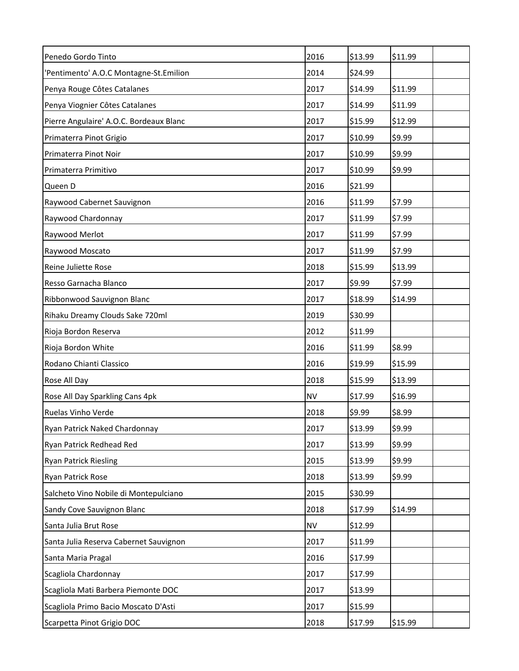| Penedo Gordo Tinto                      | 2016      | \$13.99 | \$11.99 |
|-----------------------------------------|-----------|---------|---------|
| 'Pentimento' A.O.C Montagne-St.Emilion  | 2014      | \$24.99 |         |
| Penya Rouge Côtes Catalanes             | 2017      | \$14.99 | \$11.99 |
| Penya Viognier Côtes Catalanes          | 2017      | \$14.99 | \$11.99 |
| Pierre Angulaire' A.O.C. Bordeaux Blanc | 2017      | \$15.99 | \$12.99 |
| Primaterra Pinot Grigio                 | 2017      | \$10.99 | \$9.99  |
| Primaterra Pinot Noir                   | 2017      | \$10.99 | \$9.99  |
| Primaterra Primitivo                    | 2017      | \$10.99 | \$9.99  |
| Queen D                                 | 2016      | \$21.99 |         |
| Raywood Cabernet Sauvignon              | 2016      | \$11.99 | \$7.99  |
| Raywood Chardonnay                      | 2017      | \$11.99 | \$7.99  |
| Raywood Merlot                          | 2017      | \$11.99 | \$7.99  |
| Raywood Moscato                         | 2017      | \$11.99 | \$7.99  |
| Reine Juliette Rose                     | 2018      | \$15.99 | \$13.99 |
| Resso Garnacha Blanco                   | 2017      | \$9.99  | \$7.99  |
| Ribbonwood Sauvignon Blanc              | 2017      | \$18.99 | \$14.99 |
| Rihaku Dreamy Clouds Sake 720ml         | 2019      | \$30.99 |         |
| Rioja Bordon Reserva                    | 2012      | \$11.99 |         |
| Rioja Bordon White                      | 2016      | \$11.99 | \$8.99  |
| Rodano Chianti Classico                 | 2016      | \$19.99 | \$15.99 |
| Rose All Day                            | 2018      | \$15.99 | \$13.99 |
| Rose All Day Sparkling Cans 4pk         | <b>NV</b> | \$17.99 | \$16.99 |
| Ruelas Vinho Verde                      | 2018      | \$9.99  | \$8.99  |
| Ryan Patrick Naked Chardonnay           | 2017      | \$13.99 | \$9.99  |
| Ryan Patrick Redhead Red                | 2017      | \$13.99 | \$9.99  |
| <b>Ryan Patrick Riesling</b>            | 2015      | \$13.99 | \$9.99  |
| <b>Ryan Patrick Rose</b>                | 2018      | \$13.99 | \$9.99  |
| Salcheto Vino Nobile di Montepulciano   | 2015      | \$30.99 |         |
| Sandy Cove Sauvignon Blanc              | 2018      | \$17.99 | \$14.99 |
| Santa Julia Brut Rose                   | <b>NV</b> | \$12.99 |         |
| Santa Julia Reserva Cabernet Sauvignon  | 2017      | \$11.99 |         |
| Santa Maria Pragal                      | 2016      | \$17.99 |         |
| Scagliola Chardonnay                    | 2017      | \$17.99 |         |
| Scagliola Mati Barbera Piemonte DOC     | 2017      | \$13.99 |         |
| Scagliola Primo Bacio Moscato D'Asti    | 2017      | \$15.99 |         |
| Scarpetta Pinot Grigio DOC              | 2018      | \$17.99 | \$15.99 |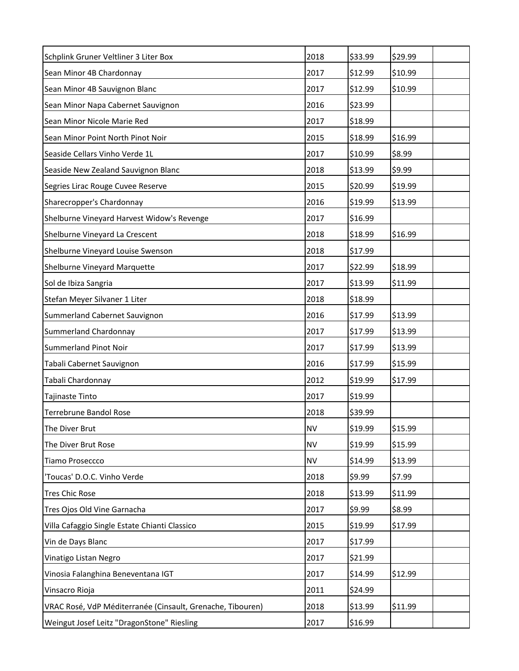| Schplink Gruner Veltliner 3 Liter Box                      | 2018      | \$33.99 | \$29.99 |
|------------------------------------------------------------|-----------|---------|---------|
| Sean Minor 4B Chardonnay                                   | 2017      | \$12.99 | \$10.99 |
| Sean Minor 4B Sauvignon Blanc                              | 2017      | \$12.99 | \$10.99 |
| Sean Minor Napa Cabernet Sauvignon                         | 2016      | \$23.99 |         |
| Sean Minor Nicole Marie Red                                | 2017      | \$18.99 |         |
| Sean Minor Point North Pinot Noir                          | 2015      | \$18.99 | \$16.99 |
| Seaside Cellars Vinho Verde 1L                             | 2017      | \$10.99 | \$8.99  |
| Seaside New Zealand Sauvignon Blanc                        | 2018      | \$13.99 | \$9.99  |
| Segries Lirac Rouge Cuvee Reserve                          | 2015      | \$20.99 | \$19.99 |
| Sharecropper's Chardonnay                                  | 2016      | \$19.99 | \$13.99 |
| Shelburne Vineyard Harvest Widow's Revenge                 | 2017      | \$16.99 |         |
| Shelburne Vineyard La Crescent                             | 2018      | \$18.99 | \$16.99 |
| Shelburne Vineyard Louise Swenson                          | 2018      | \$17.99 |         |
| Shelburne Vineyard Marquette                               | 2017      | \$22.99 | \$18.99 |
| Sol de Ibiza Sangria                                       | 2017      | \$13.99 | \$11.99 |
| Stefan Meyer Silvaner 1 Liter                              | 2018      | \$18.99 |         |
| Summerland Cabernet Sauvignon                              | 2016      | \$17.99 | \$13.99 |
| Summerland Chardonnay                                      | 2017      | \$17.99 | \$13.99 |
| <b>Summerland Pinot Noir</b>                               | 2017      | \$17.99 | \$13.99 |
| Tabali Cabernet Sauvignon                                  | 2016      | \$17.99 | \$15.99 |
| Tabali Chardonnay                                          | 2012      | \$19.99 | \$17.99 |
| Tajinaste Tinto                                            | 2017      | \$19.99 |         |
| <b>Terrebrune Bandol Rose</b>                              | 2018      | \$39.99 |         |
| The Diver Brut                                             | <b>NV</b> | \$19.99 | \$15.99 |
| The Diver Brut Rose                                        | <b>NV</b> | \$19.99 | \$15.99 |
| Tiamo Proseccco                                            | <b>NV</b> | \$14.99 | \$13.99 |
| 'Toucas' D.O.C. Vinho Verde                                | 2018      | \$9.99  | \$7.99  |
| <b>Tres Chic Rose</b>                                      | 2018      | \$13.99 | \$11.99 |
| Tres Ojos Old Vine Garnacha                                | 2017      | \$9.99  | \$8.99  |
| Villa Cafaggio Single Estate Chianti Classico              | 2015      | \$19.99 | \$17.99 |
| Vin de Days Blanc                                          | 2017      | \$17.99 |         |
| Vinatigo Listan Negro                                      | 2017      | \$21.99 |         |
| Vinosia Falanghina Beneventana IGT                         | 2017      | \$14.99 | \$12.99 |
| Vinsacro Rioja                                             | 2011      | \$24.99 |         |
| VRAC Rosé, VdP Méditerranée (Cinsault, Grenache, Tibouren) | 2018      | \$13.99 | \$11.99 |
| Weingut Josef Leitz "DragonStone" Riesling                 | 2017      | \$16.99 |         |